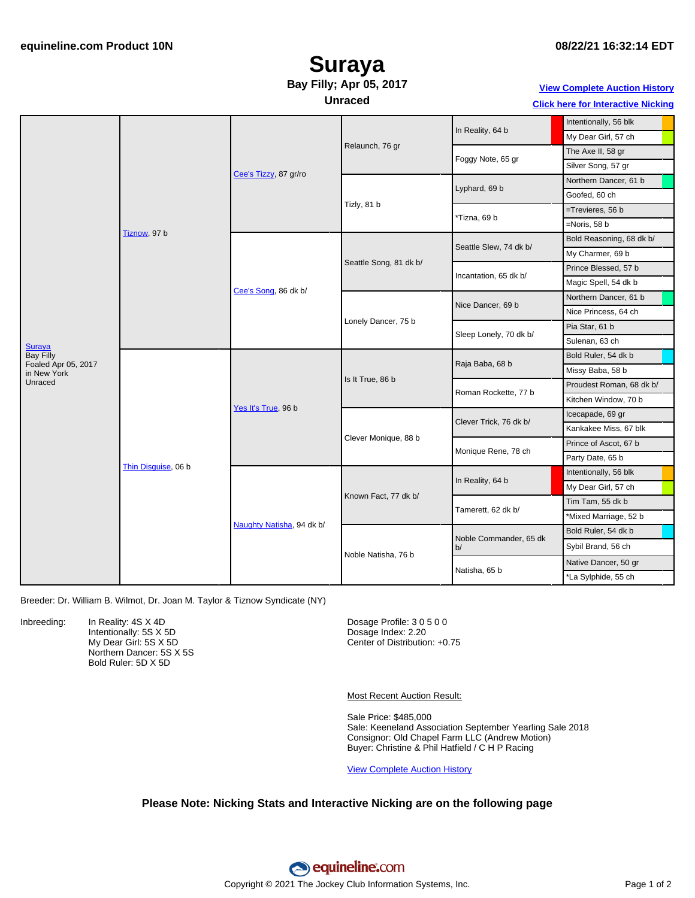## **08/22/21 16:32:14 EDT**

## **Suraya Bay Filly; Apr 05, 2017**

**Unraced**

### **View [Complete](https://www.equineline.com/Free-Auction-Results.cfm?upsellReferenceNumber=&upsellHorseName=&upsellBreedType=&upsellHorseType=&upsellYOB=&lookupAuctionResults=true&tempHorseType=&tempSale=ALL&tempYear=ALL&search_type=HORSE&reference_number=10271479&horse_name=Fateful&horse_type=ALL&year=ALL&sale=ALL&consignor_id=&consignor_name=&buyer_id=&buyer_name=&price_range_low=&price_range_high=&availableConsignors=&availableBuyers=&fromFree5CrossPedigree=Y) Auction History**

#### **Click here for [Interactive](#page-1-0) Nicking**

|                                                          | Tiznow, 97 b        | Cee's Tizzy, 87 gr/ro     | Relaunch, 76 gr        | In Reality, 64 b             | Intentionally, 56 blk    |
|----------------------------------------------------------|---------------------|---------------------------|------------------------|------------------------------|--------------------------|
|                                                          |                     |                           |                        |                              | My Dear Girl, 57 ch      |
|                                                          |                     |                           |                        | Foggy Note, 65 gr            | The Axe II, 58 gr        |
|                                                          |                     |                           |                        |                              | Silver Song, 57 gr       |
|                                                          |                     |                           | Tizly, 81 b            | Lyphard, 69 b                | Northern Dancer, 61 b    |
|                                                          |                     |                           |                        |                              | Goofed, 60 ch            |
|                                                          |                     |                           |                        | *Tizna, 69 b                 | =Trevieres, 56 b         |
|                                                          |                     |                           |                        |                              | $=$ Noris, 58 b          |
|                                                          |                     | Cee's Song, 86 dk b/      | Seattle Song, 81 dk b/ | Seattle Slew, 74 dk b/       | Bold Reasoning, 68 dk b/ |
|                                                          |                     |                           |                        |                              | My Charmer, 69 b         |
|                                                          |                     |                           |                        | Incantation, 65 dk b/        | Prince Blessed, 57 b     |
| <b>Suraya</b><br><b>Bay Filly</b><br>Foaled Apr 05, 2017 |                     |                           |                        |                              | Magic Spell, 54 dk b     |
|                                                          |                     |                           | Lonely Dancer, 75 b    | Nice Dancer, 69 b            | Northern Dancer, 61 b    |
|                                                          |                     |                           |                        |                              | Nice Princess, 64 ch     |
|                                                          |                     |                           |                        | Sleep Lonely, 70 dk b/       | Pia Star, 61 b           |
|                                                          |                     |                           |                        |                              | Sulenan, 63 ch           |
|                                                          | Thin Disquise, 06 b | Yes It's True, 96 b       | Is It True, 86 b       | Raja Baba, 68 b              | Bold Ruler, 54 dk b      |
| in New York                                              |                     |                           |                        |                              | Missy Baba, 58 b         |
| Unraced                                                  |                     |                           |                        | Roman Rockette, 77 b         | Proudest Roman, 68 dk b/ |
|                                                          |                     |                           |                        |                              | Kitchen Window, 70 b     |
|                                                          |                     |                           | Clever Monique, 88 b   | Clever Trick, 76 dk b/       | Icecapade, 69 gr         |
|                                                          |                     |                           |                        |                              | Kankakee Miss, 67 blk    |
|                                                          |                     |                           |                        | Monique Rene, 78 ch          | Prince of Ascot, 67 b    |
|                                                          |                     |                           |                        |                              | Party Date, 65 b         |
|                                                          |                     | Naughty Natisha, 94 dk b/ | Known Fact, 77 dk b/   | In Reality, 64 b             | Intentionally, 56 blk    |
|                                                          |                     |                           |                        |                              | My Dear Girl, 57 ch      |
|                                                          |                     |                           |                        | Tamerett, 62 dk b/           | Tim Tam, 55 dk b         |
|                                                          |                     |                           |                        |                              | *Mixed Marriage, 52 b    |
|                                                          |                     |                           | Noble Natisha, 76 b    | Noble Commander, 65 dk<br>b/ | Bold Ruler, 54 dk b      |
|                                                          |                     |                           |                        |                              | Sybil Brand, 56 ch       |
|                                                          |                     |                           |                        | Natisha, 65 b                | Native Dancer, 50 gr     |
|                                                          |                     |                           |                        |                              | *La Sylphide, 55 ch      |
|                                                          |                     |                           |                        |                              |                          |

Breeder: Dr. William B. Wilmot, Dr. Joan M. Taylor & Tiznow Syndicate (NY)

Inbreeding: In Reality: 4S X 4D Intentionally: 5S X 5D My Dear Girl: 5S X 5D Northern Dancer: 5S X 5S Bold Ruler: 5D X 5D

Dosage Profile: 3 0 5 0 0 Dosage Index: 2.20 Center of Distribution: +0.75

Most Recent Auction Result:

Sale Price: \$485,000 Sale: Keeneland Association September Yearling Sale 2018 Consignor: Old Chapel Farm LLC (Andrew Motion) Buyer: Christine & Phil Hatfield / C H P Racing

View [Complete](https://www.equineline.com/Free-Auction-Results.cfm?upsellReferenceNumber=&upsellHorseName=&upsellBreedType=&upsellHorseType=&upsellYOB=&lookupAuctionResults=true&tempHorseType=&tempSale=ALL&tempYear=ALL&search_type=HORSE&reference_number=10271479&horse_name=Fateful&horse_type=ALL&year=ALL&sale=ALL&consignor_id=&consignor_name=&buyer_id=&buyer_name=&price_range_low=&price_range_high=&availableConsignors=&availableBuyers=&fromFree5CrossPedigree=Y) Auction History

### **Please Note: Nicking Stats and Interactive Nicking are on the following page**